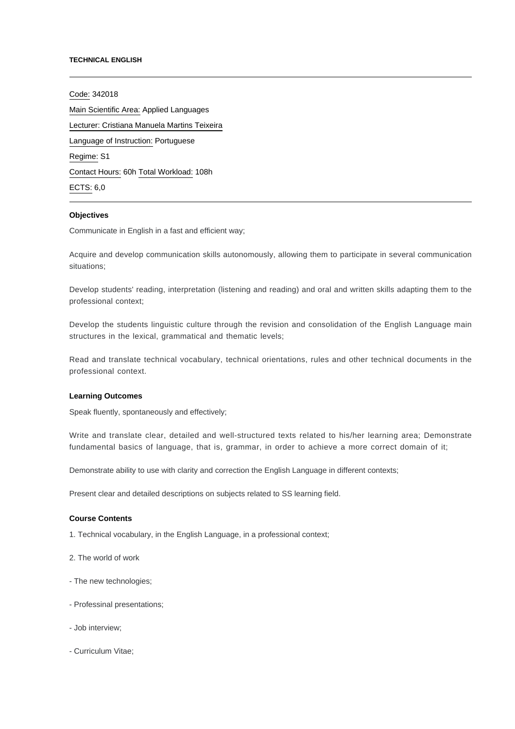#### **TECHNICAL ENGLISH**

Code: 342018 Main Scientific Area: Applied Languages Lecturer: [Cristiana Manuela Martins Teixeira](mailto:cmteixeira@ipca.pt) Language of Instruction: Portuguese Regime: S1 Contact Hours: 60h Total Workload: 108h ECTS: 6,0

## **Objectives**

Communicate in English in a fast and efficient way;

Acquire and develop communication skills autonomously, allowing them to participate in several communication situations;

Develop students' reading, interpretation (listening and reading) and oral and written skills adapting them to the professional context;

Develop the students linguistic culture through the revision and consolidation of the English Language main structures in the lexical, grammatical and thematic levels;

Read and translate technical vocabulary, technical orientations, rules and other technical documents in the professional context.

### **Learning Outcomes**

Speak fluently, spontaneously and effectively;

Write and translate clear, detailed and well-structured texts related to his/her learning area; Demonstrate fundamental basics of language, that is, grammar, in order to achieve a more correct domain of it;

Demonstrate ability to use with clarity and correction the English Language in different contexts;

Present clear and detailed descriptions on subjects related to SS learning field.

### **Course Contents**

- 1. Technical vocabulary, in the English Language, in a professional context;
- 2. The world of work
- The new technologies;
- Professinal presentations;
- Job interview;
- Curriculum Vitae;